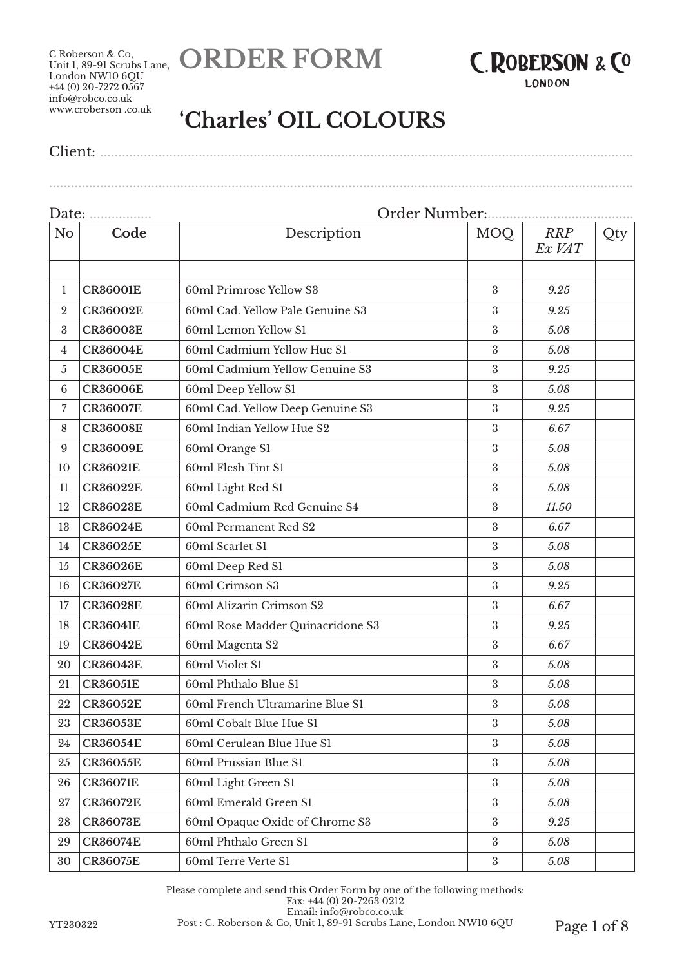



**LONDON** 

# **'Charles' OIL COLOURS**

Client: ..................................................................................................................................................

|                | Order Number:<br>Date:<br>. |                                  |                  |                      |     |  |
|----------------|-----------------------------|----------------------------------|------------------|----------------------|-----|--|
| N <sub>o</sub> | Code                        | Description                      | <b>MOQ</b>       | <b>RRP</b><br>Ex VAT | Qty |  |
|                |                             |                                  |                  |                      |     |  |
| 1              | <b>CR36001E</b>             | 60ml Primrose Yellow S3          | $\boldsymbol{3}$ | 9.25                 |     |  |
| $\overline{2}$ | <b>CR36002E</b>             | 60ml Cad. Yellow Pale Genuine S3 | $\boldsymbol{3}$ | 9.25                 |     |  |
| 3              | <b>CR36003E</b>             | 60ml Lemon Yellow S1             | 3                | 5.08                 |     |  |
| 4              | <b>CR36004E</b>             | 60ml Cadmium Yellow Hue S1       | 3                | 5.08                 |     |  |
| $\mathfrak{H}$ | <b>CR36005E</b>             | 60ml Cadmium Yellow Genuine S3   | $\boldsymbol{3}$ | 9.25                 |     |  |
| $\,6\,$        | <b>CR36006E</b>             | 60ml Deep Yellow S1              | 3                | 5.08                 |     |  |
| 7              | <b>CR36007E</b>             | 60ml Cad. Yellow Deep Genuine S3 | $\boldsymbol{3}$ | 9.25                 |     |  |
| 8              | <b>CR36008E</b>             | 60ml Indian Yellow Hue S2        | $\boldsymbol{3}$ | 6.67                 |     |  |
| 9              | <b>CR36009E</b>             | 60ml Orange S1                   | $\boldsymbol{3}$ | 5.08                 |     |  |
| 10             | <b>CR36021E</b>             | 60ml Flesh Tint S1               | 3                | 5.08                 |     |  |
| 11             | <b>CR36022E</b>             | 60ml Light Red S1                | $\boldsymbol{3}$ | 5.08                 |     |  |
| 12             | <b>CR36023E</b>             | 60ml Cadmium Red Genuine S4      | $\boldsymbol{3}$ | 11.50                |     |  |
| 13             | <b>CR36024E</b>             | 60ml Permanent Red S2            | $\mathfrak{z}$   | 6.67                 |     |  |
| 14             | <b>CR36025E</b>             | 60ml Scarlet S1                  | $\boldsymbol{3}$ | 5.08                 |     |  |
| 15             | <b>CR36026E</b>             | 60ml Deep Red S1                 | $\boldsymbol{3}$ | 5.08                 |     |  |
| 16             | <b>CR36027E</b>             | 60ml Crimson S3                  | $\boldsymbol{3}$ | 9.25                 |     |  |
| 17             | <b>CR36028E</b>             | 60ml Alizarin Crimson S2         | $\boldsymbol{3}$ | 6.67                 |     |  |
| 18             | <b>CR36041E</b>             | 60ml Rose Madder Quinacridone S3 | $\boldsymbol{3}$ | 9.25                 |     |  |
| 19             | <b>CR36042E</b>             | 60ml Magenta S2                  | $\boldsymbol{3}$ | 6.67                 |     |  |
| 20             | <b>CR36043E</b>             | 60ml Violet S1                   | $\mathfrak{z}$   | 5.08                 |     |  |
| 21             | <b>CR36051E</b>             | 60ml Phthalo Blue S1             | $\boldsymbol{3}$ | 5.08                 |     |  |
| 22             | <b>CR36052E</b>             | 60ml French Ultramarine Blue S1  | $\boldsymbol{3}$ | 5.08                 |     |  |
| 23             | <b>CR36053E</b>             | 60ml Cobalt Blue Hue S1          | $\rm 3$          | $5.08\,$             |     |  |
| 24             | <b>CR36054E</b>             | 60ml Cerulean Blue Hue S1        | $\boldsymbol{3}$ | 5.08                 |     |  |
| 25             | <b>CR36055E</b>             | 60ml Prussian Blue S1            | $\boldsymbol{3}$ | 5.08                 |     |  |
| 26             | <b>CR36071E</b>             | 60ml Light Green S1              | $\boldsymbol{3}$ | 5.08                 |     |  |
| 27             | <b>CR36072E</b>             | 60ml Emerald Green S1            | $\boldsymbol{3}$ | 5.08                 |     |  |
| 28             | <b>CR36073E</b>             | 60ml Opaque Oxide of Chrome S3   | $\boldsymbol{3}$ | 9.25                 |     |  |
| 29             | <b>CR36074E</b>             | 60ml Phthalo Green S1            | $\boldsymbol{3}$ | 5.08                 |     |  |
| 30             | <b>CR36075E</b>             | 60ml Terre Verte S1              | $\rm 3$          | 5.08                 |     |  |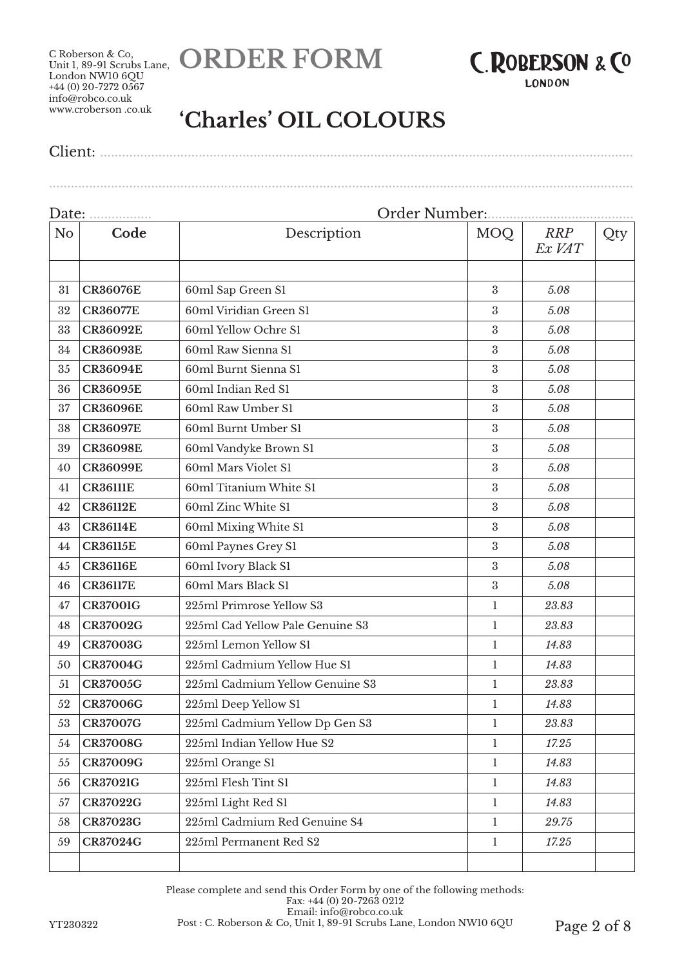



# **'Charles' OIL COLOURS**

Client: ..................................................................................................................................................

| Date:          | .               | Order Number:                    |                  |                      |     |
|----------------|-----------------|----------------------------------|------------------|----------------------|-----|
| N <sub>o</sub> | Code            | Description                      | <b>MOQ</b>       | <b>RRP</b><br>Ex VAT | Qty |
|                |                 |                                  |                  |                      |     |
| 31             | <b>CR36076E</b> | 60ml Sap Green S1                | $\boldsymbol{3}$ | 5.08                 |     |
| 32             | <b>CR36077E</b> | 60ml Viridian Green S1           | 3                | 5.08                 |     |
| 33             | <b>CR36092E</b> | 60ml Yellow Ochre S1             | 3                | 5.08                 |     |
| 34             | <b>CR36093E</b> | 60ml Raw Sienna S1               | 3                | 5.08                 |     |
| 35             | <b>CR36094E</b> | 60ml Burnt Sienna S1             | $\boldsymbol{3}$ | 5.08                 |     |
| 36             | <b>CR36095E</b> | 60ml Indian Red S1               | 3                | 5.08                 |     |
| 37             | <b>CR36096E</b> | 60ml Raw Umber S1                | $\boldsymbol{3}$ | 5.08                 |     |
| 38             | <b>CR36097E</b> | 60ml Burnt Umber S1              | $\boldsymbol{3}$ | 5.08                 |     |
| 39             | <b>CR36098E</b> | 60ml Vandyke Brown S1            | $\boldsymbol{3}$ | 5.08                 |     |
| 40             | <b>CR36099E</b> | 60ml Mars Violet S1              | 3                | 5.08                 |     |
| 41             | <b>CR36111E</b> | 60ml Titanium White S1           | $\boldsymbol{3}$ | 5.08                 |     |
| 42             | <b>CR36112E</b> | 60ml Zinc White S1               | $\boldsymbol{3}$ | 5.08                 |     |
| 43             | <b>CR36114E</b> | 60ml Mixing White S1             | 3                | 5.08                 |     |
| 44             | <b>CR36115E</b> | 60ml Paynes Grey S1              | $\boldsymbol{3}$ | 5.08                 |     |
| 45             | <b>CR36116E</b> | 60ml Ivory Black S1              | 3                | 5.08                 |     |
| 46             | <b>CR36117E</b> | 60ml Mars Black S1               | $\boldsymbol{3}$ | 5.08                 |     |
| 47             | <b>CR37001G</b> | 225ml Primrose Yellow S3         | $\mathbf{1}$     | 23.83                |     |
| 48             | <b>CR37002G</b> | 225ml Cad Yellow Pale Genuine S3 | $\mathbf{1}$     | 23.83                |     |
| 49             | <b>CR37003G</b> | 225ml Lemon Yellow S1            | 1                | 14.83                |     |
| 50             | <b>CR37004G</b> | 225ml Cadmium Yellow Hue S1      | $\mathbf{1}$     | 14.83                |     |
| 51             | <b>CR37005G</b> | 225ml Cadmium Yellow Genuine S3  | $\mathbf{1}$     | 23.83                |     |
| 52             | <b>CR37006G</b> | 225ml Deep Yellow S1             | 1                | 14.83                |     |
| 53             | <b>CR37007G</b> | 225ml Cadmium Yellow Dp Gen S3   | $\mathbf{1}$     | $23.83\,$            |     |
| 54             | <b>CR37008G</b> | 225ml Indian Yellow Hue S2       | 1                | 17.25                |     |
| 55             | <b>CR37009G</b> | 225ml Orange S1                  | 1                | 14.83                |     |
| 56             | <b>CR37021G</b> | 225ml Flesh Tint S1              | 1                | 14.83                |     |
| 57             | <b>CR37022G</b> | 225ml Light Red S1               | $\mathbf{1}$     | 14.83                |     |
| 58             | <b>CR37023G</b> | 225ml Cadmium Red Genuine S4     | $\mathbf{1}$     | 29.75                |     |
| 59             | <b>CR37024G</b> | 225ml Permanent Red S2           | $\mathbf{1}$     | 17.25                |     |
|                |                 |                                  |                  |                      |     |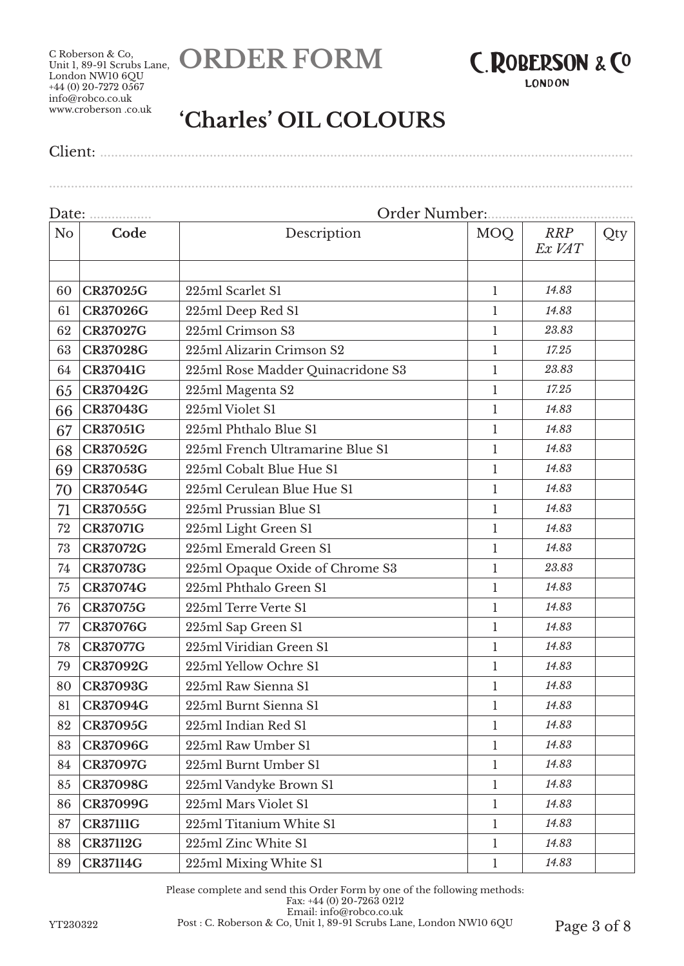



**LONDON** 

# **'Charles' OIL COLOURS**

Client: ..................................................................................................................................................

................................................................................................................................................................

| Date:          | .               |                                   | Order Number: . |                      |     |
|----------------|-----------------|-----------------------------------|-----------------|----------------------|-----|
| N <sub>o</sub> | Code            | Description                       | MOQ             | <b>RRP</b><br>Ex VAT | Qty |
|                |                 |                                   |                 |                      |     |
| 60             | <b>CR37025G</b> | 225ml Scarlet S1                  | $\mathbf{1}$    | 14.83                |     |
| 61             | <b>CR37026G</b> | 225ml Deep Red S1                 | $\mathbf{1}$    | 14.83                |     |
| 62             | <b>CR37027G</b> | 225ml Crimson S3                  | $\mathbf{1}$    | 23.83                |     |
| 63             | <b>CR37028G</b> | 225ml Alizarin Crimson S2         | 1               | 17.25                |     |
| 64             | <b>CR37041G</b> | 225ml Rose Madder Quinacridone S3 | 1               | 23.83                |     |
| 65             | <b>CR37042G</b> | 225ml Magenta S2                  | 1               | 17.25                |     |
| 66             | <b>CR37043G</b> | 225ml Violet S1                   | 1               | 14.83                |     |
| 67             | <b>CR37051G</b> | 225ml Phthalo Blue S1             | $\mathbf 1$     | 14.83                |     |
| 68             | <b>CR37052G</b> | 225ml French Ultramarine Blue S1  | 1               | 14.83                |     |
| 69             | <b>CR37053G</b> | 225ml Cobalt Blue Hue S1          | $\mathbf{1}$    | 14.83                |     |
| 70             | <b>CR37054G</b> | 225ml Cerulean Blue Hue S1        | $\mathbf{1}$    | 14.83                |     |
| 71             | <b>CR37055G</b> | 225ml Prussian Blue S1            | $\mathbf{1}$    | 14.83                |     |
| 72             | <b>CR37071G</b> | 225ml Light Green S1              | 1               | 14.83                |     |
| 73             | <b>CR37072G</b> | 225ml Emerald Green S1            | 1               | 14.83                |     |
| 74             | <b>CR37073G</b> | 225ml Opaque Oxide of Chrome S3   | 1               | 23.83                |     |
| 75             | <b>CR37074G</b> | 225ml Phthalo Green S1            | $\mathbf 1$     | 14.83                |     |
| 76             | <b>CR37075G</b> | 225ml Terre Verte S1              | $\mathbf{1}$    | 14.83                |     |
| 77             | <b>CR37076G</b> | 225ml Sap Green S1                | $\mathbf{1}$    | 14.83                |     |
| 78             | <b>CR37077G</b> | 225ml Viridian Green S1           | $\mathbf{1}$    | 14.83                |     |
| 79             | <b>CR37092G</b> | 225ml Yellow Ochre S1             | 1               | 14.83                |     |
| 80             | <b>CR37093G</b> | 225ml Raw Sienna S1               | 1               | 14.83                |     |
| 81             | <b>CR37094G</b> | 225ml Burnt Sienna S1             | 1               | 14.83                |     |
| 82             | <b>CR37095G</b> | 225ml Indian Red S1               | $\mathbf{1}$    | 14.83                |     |
| 83             | <b>CR37096G</b> | 225ml Raw Umber S1                | $\mathbf{1}$    | 14.83                |     |
| 84             | <b>CR37097G</b> | 225ml Burnt Umber S1              | $\mathbf{1}$    | 14.83                |     |
| 85             | <b>CR37098G</b> | 225ml Vandyke Brown S1            | $\mathbf{1}$    | 14.83                |     |
| 86             | <b>CR37099G</b> | 225ml Mars Violet S1              | 1               | 14.83                |     |
| 87             | <b>CR37111G</b> | 225ml Titanium White S1           | 1               | 14.83                |     |
| 88             | <b>CR37112G</b> | 225ml Zinc White S1               | $\mathbf{1}$    | 14.83                |     |
| 89             | <b>CR37114G</b> | 225ml Mixing White S1             | $\mathbf{1}$    | 14.83                |     |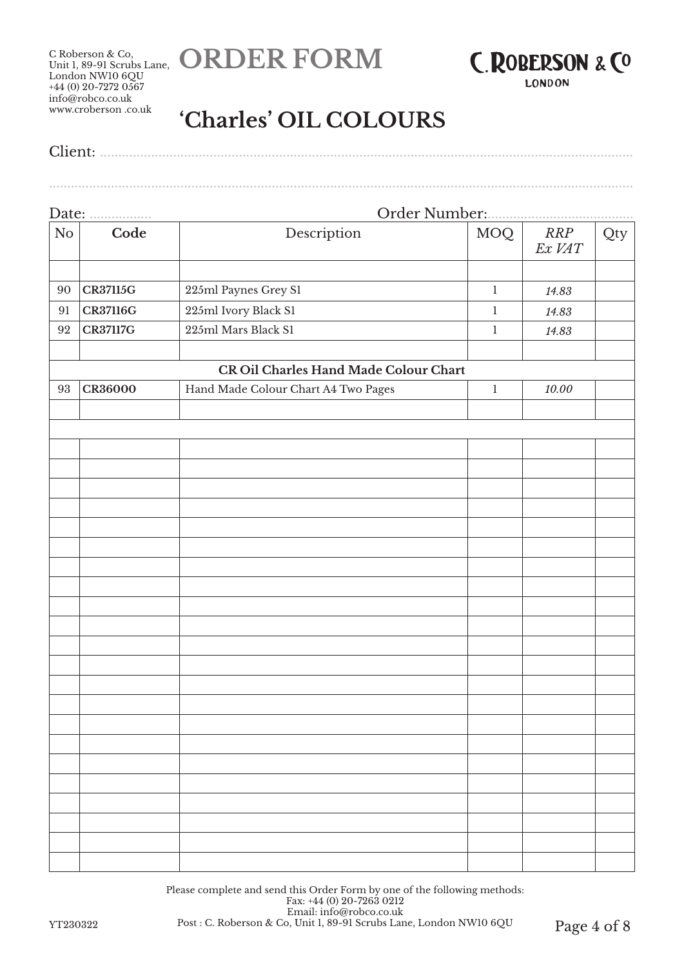





**LONDON** 

................................................................................................................................................................

# **'Charles' OIL COLOURS**

# Date: ................. Order Number:........................................ No **Code Description** MOQ *RRP Ex VAT* Qty 90 **CR37115G** 225ml Paynes Grey S1 1 1 14.83 91 **CR37116G** 225ml Ivory Black S1 1 1 14.83 92 **CR37117G** 225ml Mars Black S1 1 1 14.83 **CR Oil Charles Hand Made Colour Chart** 93 **CR36000** Hand Made Colour Chart A4 Two Pages 1 *10.00*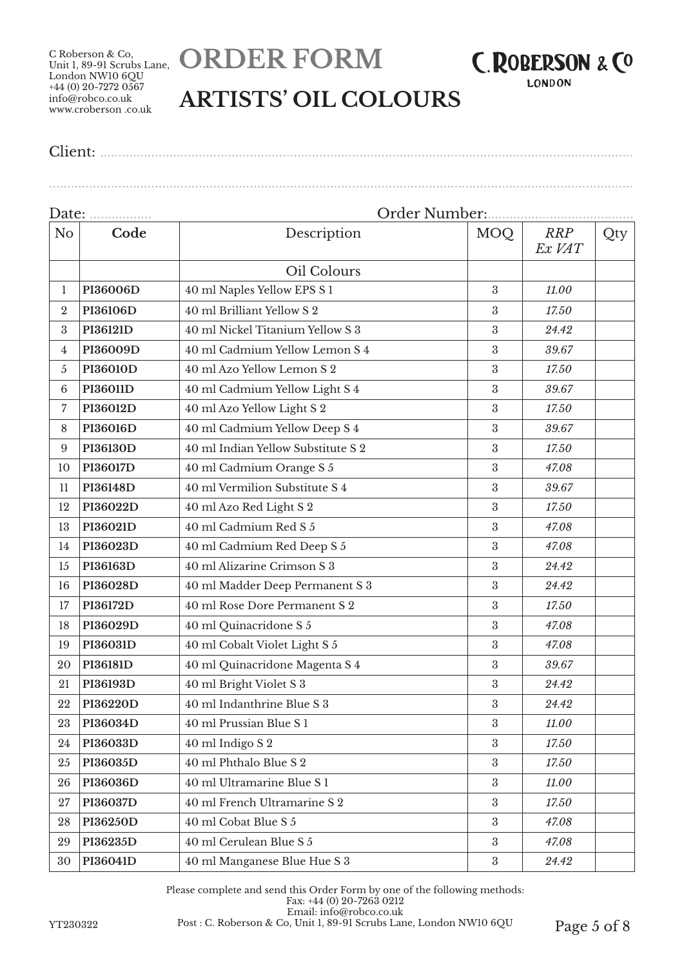C Roberson & Co, London NW10 6QU  $+44(0)$  20-7272 0567 info@robco.co.uk www.croberson .co.uk





# **ARTISTS' OIL COLOURS**

Client: ..................................................................................................................................................

#### Date: ................. Order Number:........................................ No **Code Description** MOQ *RRP Ex VAT* Qty Oil Colours **PI36006D** 40 ml Naples Yellow EPS S 1 3 11.00 **PI36106D** 40 ml Brilliant Yellow S 2 3 7750 **PI36121D** 40 ml Nickel Titanium Yellow S 3 3 *24.42* **PI36009D** 40 ml Cadmium Yellow Lemon S 4 3 *39.67* **PI36010D** 40 ml Azo Yellow Lemon S 2 3 *17.50* **PI36011D** 40 ml Cadmium Yellow Light S 4 3 *39.67* **PI36012D** 40 ml Azo Yellow Light S 2 3 *17.50* **PI36016D** 40 ml Cadmium Yellow Deep S 4 3 *39.67* **PI36130D** 40 ml Indian Yellow Substitute S 2 3 *17.50* **PI36017D** 40 ml Cadmium Orange S 5 3 47.08 **PI36148D** 40 ml Vermilion Substitute S 4 3 *39.67* **PI36022D** 40 ml Azo Red Light S 2 3 3 17.50 **PI3602ID** 40 ml Cadmium Red S 5 3 47.08 **PI36023D** 40 ml Cadmium Red Deep S 5 3 *47.08* **PI36163D** 40 ml Alizarine Crimson S 3 3 *24.42* **PI36028D** 40 ml Madder Deep Permanent S 3 3 *24.42* **PI36172D** 40 ml Rose Dore Permanent S 2 3 *17.50* **PI36029D** 40 ml Quinacridone S 5 3 47.08 **PI36031D** 40 ml Cobalt Violet Light S 5 3 47.08 **PI36181D** 40 ml Quinacridone Magenta S 4 3 *39.67* **PI36193D** 40 ml Bright Violet S 3 3 *24.42* **PI36220D** 40 ml Indanthrine Blue S 3 3 *24.42* **PI36034D** 40 ml Prussian Blue S 1 3 *11.00* **PI36033D** 40 ml Indigo S 2 3 *17.50* **PI36035D** 40 ml Phthalo Blue S 2 3 *17.50* **PI36036D** 40 ml Ultramarine Blue S 1 3 *11.00* **PI36037D** 40 ml French Ultramarine S 2 3 *17.50* **PI36250D** 40 ml Cobat Blue S 5 3 47.08 **PI36235D** 40 ml Cerulean Blue S 5 3 *47.08* **PI36041D** 40 ml Manganese Blue Hue S 3 3 *24.42*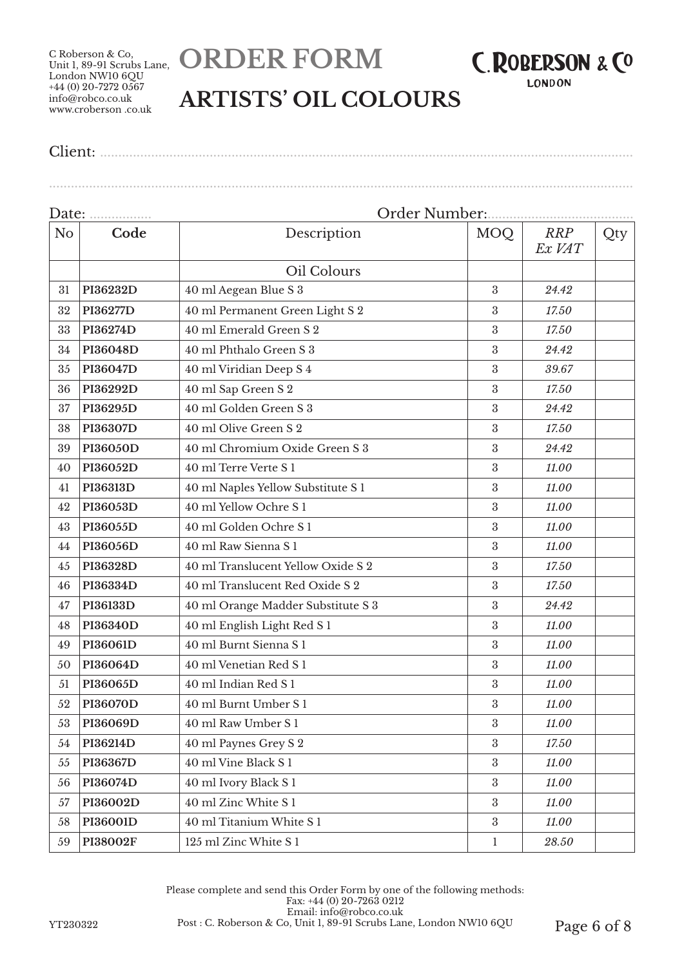



# **ARTISTS' OIL COLOURS**

Client: ..................................................................................................................................................

## ................................................................................................................................................................

| Date:          | .               | Order Number:                      |                  |                      |     |  |
|----------------|-----------------|------------------------------------|------------------|----------------------|-----|--|
| N <sub>o</sub> | Code            | Description                        | MOQ              | <b>RRP</b><br>Ex VAT | Qty |  |
|                |                 | Oil Colours                        |                  |                      |     |  |
| 31             | PI36232D        | 40 ml Aegean Blue S 3              | $\boldsymbol{3}$ | 24.42                |     |  |
| 32             | PI36277D        | 40 ml Permanent Green Light S 2    | 3                | 17.50                |     |  |
| 33             | PI36274D        | 40 ml Emerald Green S 2            | 3                | 17.50                |     |  |
| 34             | PI36048D        | 40 ml Phthalo Green S 3            | $\boldsymbol{3}$ | 24.42                |     |  |
| 35             | PI36047D        | 40 ml Viridian Deep S 4            | $\boldsymbol{3}$ | 39.67                |     |  |
| 36             | PI36292D        | 40 ml Sap Green S 2                | 3                | 17.50                |     |  |
| 37             | PI36295D        | 40 ml Golden Green S 3             | $\boldsymbol{3}$ | 24.42                |     |  |
| 38             | PI36307D        | 40 ml Olive Green S 2              | $\boldsymbol{3}$ | 17.50                |     |  |
| 39             | <b>PI36050D</b> | 40 ml Chromium Oxide Green S 3     | $\boldsymbol{3}$ | 24.42                |     |  |
| 40             | PI36052D        | 40 ml Terre Verte S 1              | 3                | 11.00                |     |  |
| 41             | PI36313D        | 40 ml Naples Yellow Substitute S 1 | $\boldsymbol{3}$ | 11.00                |     |  |
| 42             | PI36053D        | 40 ml Yellow Ochre S1              | $\boldsymbol{3}$ | 11.00                |     |  |
| 43             | PI36055D        | 40 ml Golden Ochre S1              | 3                | 11.00                |     |  |
| 44             | PI36056D        | 40 ml Raw Sienna S 1               | $\boldsymbol{3}$ | 11.00                |     |  |
| 45             | PI36328D        | 40 ml Translucent Yellow Oxide S 2 | $\boldsymbol{3}$ | 17.50                |     |  |
| 46             | PI36334D        | 40 ml Translucent Red Oxide S 2    | 3                | 17.50                |     |  |
| 47             | PI36133D        | 40 ml Orange Madder Substitute S 3 | $\boldsymbol{3}$ | 24.42                |     |  |
| 48             | PI36340D        | 40 ml English Light Red S 1        | $\boldsymbol{3}$ | 11.00                |     |  |
| 49             | PI36061D        | 40 ml Burnt Sienna S 1             | $\boldsymbol{3}$ | 11.00                |     |  |
| 50             | PI36064D        | 40 ml Venetian Red S 1             | 3                | 11.00                |     |  |
| 51             | PI36065D        | 40 ml Indian Red S 1               | $\boldsymbol{3}$ | 11.00                |     |  |
| 52             | PI36070D        | 40 ml Burnt Umber S 1              | 3                | 11.00                |     |  |
| 53             | PI36069D        | 40 ml Raw Umber S 1                | $\rm 3$          | 11.00                |     |  |
| 54             | PI36214D        | 40 ml Paynes Grey S 2              | $\boldsymbol{3}$ | 17.50                |     |  |
| 55             | PI36367D        | 40 ml Vine Black S 1               | $\boldsymbol{3}$ | 11.00                |     |  |
| 56             | PI36074D        | 40 ml Ivory Black S 1              | $\boldsymbol{3}$ | 11.00                |     |  |
| 57             | PI36002D        | 40 ml Zinc White S1                | $\boldsymbol{3}$ | 11.00                |     |  |
| 58             | PI36001D        | 40 ml Titanium White S 1           | $\boldsymbol{3}$ | 11.00                |     |  |
| 59             | <b>PI38002F</b> | 125 ml Zinc White S 1              | $\mathbf{1}$     | 28.50                |     |  |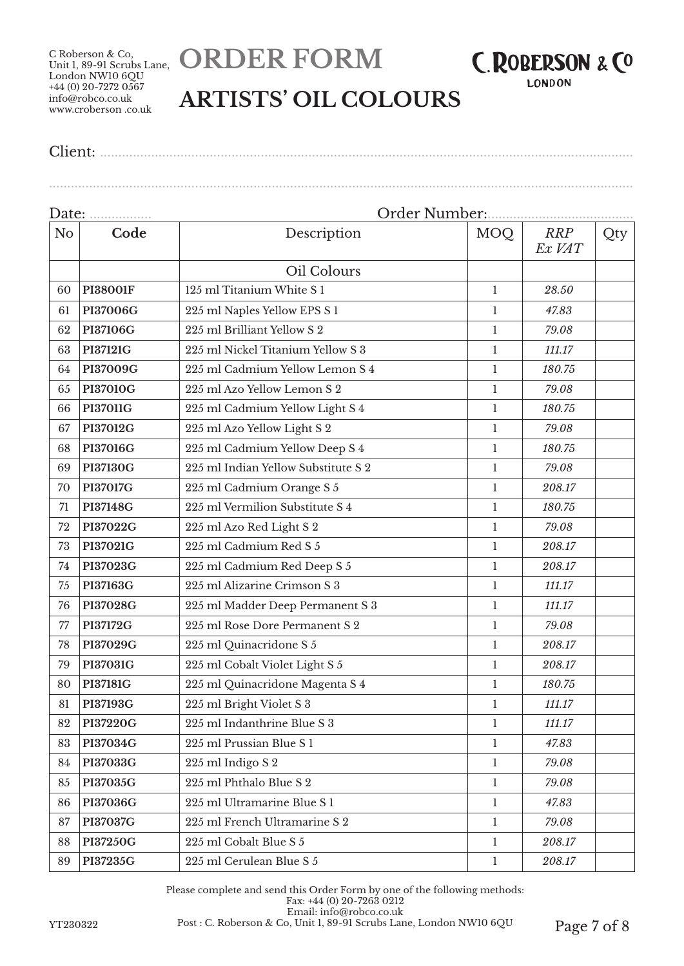C Roberson & Co, London NW10 6QU  $+44(0)$  20-7272 0567 info@robco.co.uk www.croberson .co.uk





................................................................................................................................................................

# **ARTISTS' OIL COLOURS**

Client: ..................................................................................................................................................

#### Date: ................. Order Number:........................................ No **Code Description** MOQ *RRP Ex VAT* Qty Oil Colours **PI38001F** 125 ml Titanium White S 1 1 *28.50* **PI37006G** 225 ml Naples Yellow EPS S 1 1 *47.83* **PI37106G** 225 ml Brilliant Yellow S 2 1 *79.08* **PI37121G** 225 ml Nickel Titanium Yellow S 3 1 *111.17* **PI37009G** 225 ml Cadmium Yellow Lemon S 4 1 *180.75* **PI37010G** 225 ml Azo Yellow Lemon S 2 1 *79.08* **PI37011G** 225 ml Cadmium Yellow Light S 4 1 *180.75* **PI37012G** 225 ml Azo Yellow Light S 2 1 *79.08* **PI37016G** 225 ml Cadmium Yellow Deep S 4 1 *180.75* **PI37130G** 225 ml Indian Yellow Substitute S 2 1 *79.08* **PI37017G** 225 ml Cadmium Orange S 5 1 208.17 **PI37148G** 225 ml Vermilion Substitute S 4 1 *180.75* **PI37022G** 225 ml Azo Red Light S 2 1 *79.08* **PI37021G** 225 ml Cadmium Red S 5 1 *208.17* **PI37023G** 225 ml Cadmium Red Deep S 5 1 *208.17* **PI37163G** 225 ml Alizarine Crimson S 3 1 *111.17* **PI37028G** 225 ml Madder Deep Permanent S 3 1 *111.17* **PI37172G** 225 ml Rose Dore Permanent S 2 1 *79.08* **PI37029G** 225 ml Quinacridone S 5 1 *208.17* **PI37031G** 225 ml Cobalt Violet Light S 5 1 *208.17* **PI37181G** 225 ml Quinacridone Magenta S 4 1 1 180.75 **PI37193G** 225 ml Bright Violet S 3 1 *111.17* **PI37220G** 225 ml Indanthrine Blue S 3 1 *111.17* **PI37034G** 225 ml Prussian Blue S 1 1 47.83 **PI37033G** 225 ml Indigo S 2 1 *79.08* **PI37035G** 225 ml Phthalo Blue S 2 1 *79.08* **PI37036G** 225 ml Ultramarine Blue S 1 1 *47.83* **PI37037G** 225 ml French Ultramarine S 2 1 *79.08* **PI37250G** 225 ml Cobalt Blue S 5 1 208.17 **PI37235G** 225 ml Cerulean Blue S 5 1 208.17